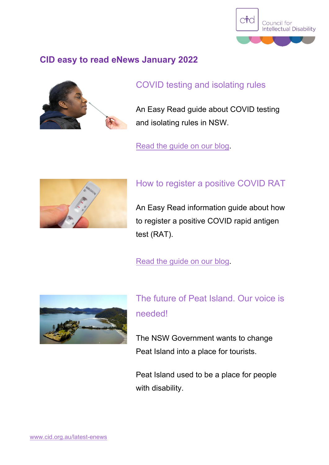

#### **CID easy to read eNews January 2022**



#### COVID testing and isolating rules

An Easy Read guide about COVID testing and isolating rules in NSW.

[Read the guide on our](https://cid.org.au/our-stories/covid-testing-and-isolating-rules/) blog.



### How to register a positive COVID RAT

An Easy Read information guide about how to register a positive COVID rapid antigen test (RAT).

[Read the guide on our](https://cid.org.au/our-stories/how-to-register-a-positive-covid-rapid-antigen-test/) blog.



The future of Peat Island. Our voice is needed!

The NSW Government wants to change Peat Island into a place for tourists.

Peat Island used to be a place for people with disability.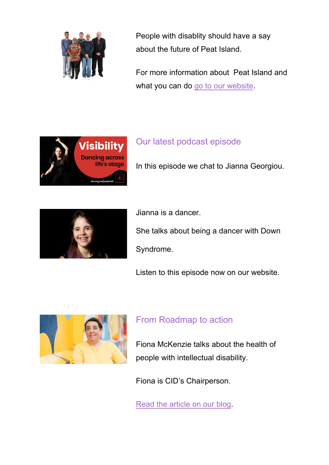

People with disablity should have a say about the future of Peat Island.

For more information about Peat Island and what you can do go to [our website.](https://cid.org.au/our-campaigns/peat-island/)



## Our latest podcast episode

In this episode we chat to Jianna Georgiou.



Jianna is a dancer.

She talks about being a dancer with Down Syndrome.

Listen to this episode now on our website.



### From Roadmap to action

Fiona McKenzie talks about the health of people with intellectual disability.

Fiona is CID's Chairperson.

[Read the article on](https://cid.org.au/our-stories/from-roadmap-to-action) our blog.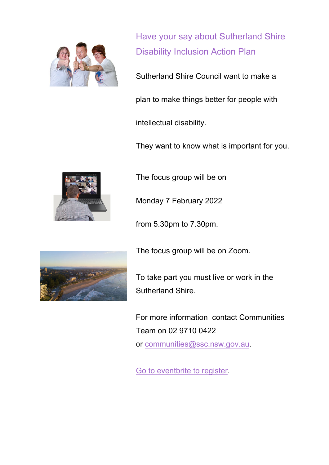

Have your say about Sutherland Shire Disability Inclusion Action Plan

Sutherland Shire Council want to make a

plan to make things better for people with

intellectual disability.

They want to know what is important for you.



The focus group will be on

Monday 7 February 2022

from 5.30pm to 7.30pm.



The focus group will be on Zoom.

To take part you must live or work in the Sutherland Shire.

F[or more information contact Com](mailto:communities@ssc.nsw.gov.au)munities Team on 02 9710 0422 or [communities@ssc.nsw.g](https://www.eventbrite.com.au/e/focus-group-for-people-with-intellectual-disability-or-autism-tickets-217266679487#listing-organizer)ov.au.

Go to eventbrite to register.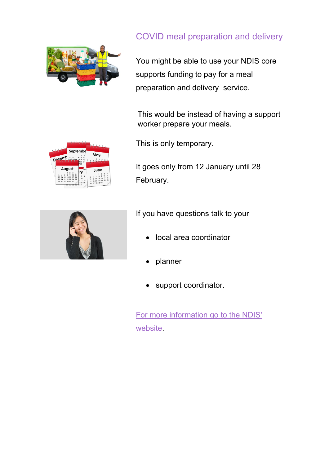

# COVID meal preparation and delivery

You might be able to use your NDIS core supports funding to pay for a meal preparation and delivery service.

This would be instead of having a support worker prepare your meals.

This is only temporary.

It goes only from 12 January until 28 February.



Septembe

May

June

If you have questions talk to your

- local area coordinator
- planner
- support coordinator.

[For more information go to the NDIS'](https://www.ndis.gov.au/coronavirus/participants-coronavirus-covid-19/your-health-and-safety#mealprep)  [website.](https://www.ndis.gov.au/coronavirus/participants-coronavirus-covid-19/your-health-and-safety#mealprep)